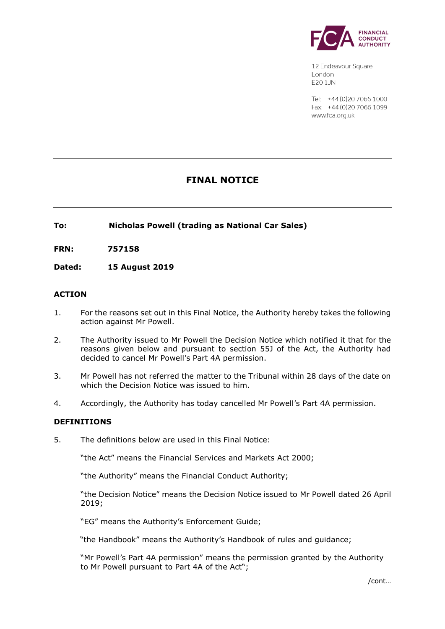

12 Endeavour Square London **E201JN** 

Tel: +44 (0) 20 7066 1000 Fax: +44 (0) 20 7066 1099 www.fca.org.uk

# **FINAL NOTICE**

## **To: Nicholas Powell (trading as National Car Sales)**

**FRN: 757158**

**Dated: 15 August 2019**

## **ACTION**

- 1. For the reasons set out in this Final Notice, the Authority hereby takes the following action against Mr Powell.
- 2. The Authority issued to Mr Powell the Decision Notice which notified it that for the reasons given below and pursuant to section 55J of the Act, the Authority had decided to cancel Mr Powell's Part 4A permission.
- 3. Mr Powell has not referred the matter to the Tribunal within 28 days of the date on which the Decision Notice was issued to him.
- 4. Accordingly, the Authority has today cancelled Mr Powell's Part 4A permission.

### **DEFINITIONS**

5. The definitions below are used in this Final Notice:

"the Act" means the Financial Services and Markets Act 2000;

"the Authority" means the Financial Conduct Authority;

"the Decision Notice" means the Decision Notice issued to Mr Powell dated 26 April 2019;

"EG" means the Authority's Enforcement Guide;

"the Handbook" means the Authority's Handbook of rules and guidance;

"Mr Powell's Part 4A permission" means the permission granted by the Authority to Mr Powell pursuant to Part 4A of the Act";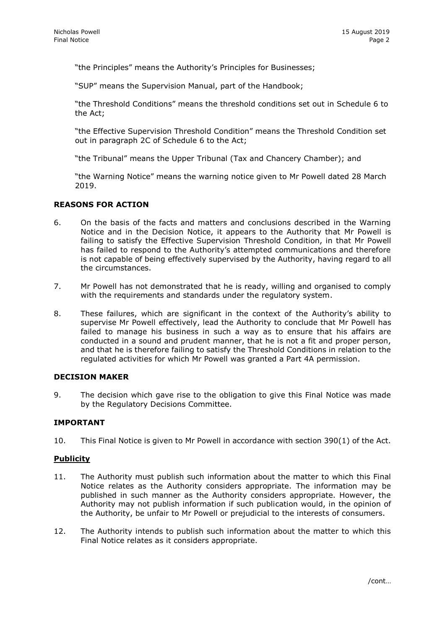"the Principles" means the Authority's Principles for Businesses;

"SUP" means the Supervision Manual, part of the Handbook;

"the Threshold Conditions" means the threshold conditions set out in Schedule 6 to the Act;

"the Effective Supervision Threshold Condition" means the Threshold Condition set out in paragraph 2C of Schedule 6 to the Act;

"the Tribunal" means the Upper Tribunal (Tax and Chancery Chamber); and

"the Warning Notice" means the warning notice given to Mr Powell dated 28 March 2019.

## **REASONS FOR ACTION**

- 6. On the basis of the facts and matters and conclusions described in the Warning Notice and in the Decision Notice, it appears to the Authority that Mr Powell is failing to satisfy the Effective Supervision Threshold Condition, in that Mr Powell has failed to respond to the Authority's attempted communications and therefore is not capable of being effectively supervised by the Authority, having regard to all the circumstances.
- 7. Mr Powell has not demonstrated that he is ready, willing and organised to comply with the requirements and standards under the regulatory system.
- 8. These failures, which are significant in the context of the Authority's ability to supervise Mr Powell effectively, lead the Authority to conclude that Mr Powell has failed to manage his business in such a way as to ensure that his affairs are conducted in a sound and prudent manner, that he is not a fit and proper person, and that he is therefore failing to satisfy the Threshold Conditions in relation to the regulated activities for which Mr Powell was granted a Part 4A permission.

### **DECISION MAKER**

9. The decision which gave rise to the obligation to give this Final Notice was made by the Regulatory Decisions Committee.

# **IMPORTANT**

10. This Final Notice is given to Mr Powell in accordance with section 390(1) of the Act.

### **Publicity**

- 11. The Authority must publish such information about the matter to which this Final Notice relates as the Authority considers appropriate. The information may be published in such manner as the Authority considers appropriate. However, the Authority may not publish information if such publication would, in the opinion of the Authority, be unfair to Mr Powell or prejudicial to the interests of consumers.
- 12. The Authority intends to publish such information about the matter to which this Final Notice relates as it considers appropriate.